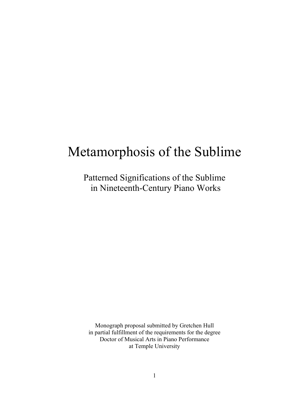# Metamorphosis of the Sublime

Patterned Significations of the Sublime in Nineteenth-Century Piano Works

Monograph proposal submitted by Gretchen Hull in partial fulfillment of the requirements for the degree Doctor of Musical Arts in Piano Performance at Temple University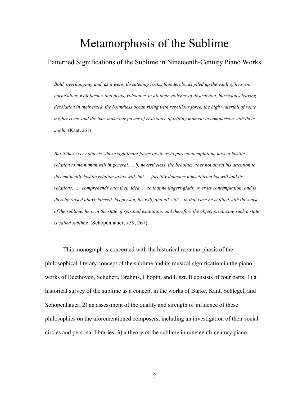## Metamorphosis of the Sublime

## Patterned Significations of the Sublime in Nineteenth-Century Piano Works

*Bold, overhanging, and, as it were, threatening rocks, thunderclouds piled up the vault of heaven, borne along with flashes and peals, volcanoes in all their violence of destruction, hurricanes leaving desolation in their track, the boundless ocean rising with rebellious force, the high waterfall of some mighty river, and the like, make our power of resistance of trifling moment in comparison with their might.* (Kant, 261)

*But if these very objects whose significant forms invite us to pure contemplation, have a hostile relation to the human will in general. . . if, nevertheless, the beholder does not direct his attention to this eminently hostile relation to his will, but. . . forcibly detaches himself from his will and its relations, . . . comprehends only their Idea. . . so that he lingers gladly over its contemplation, and is thereby raised above himself, his person, his will, and all will:—in that case he is filled with the sense of the sublime, he is in the state of spiritual exaltation, and therefore the object producing such a state is called sublime.* (Schopenhauer, §39, 267)

This monograph is concerned with the historical metamorphosis of the philosophical-literary concept of the sublime and its musical signification in the piano works of Beethoven, Schubert, Brahms, Chopin, and Liszt. It consists of four parts: 1) a historical survey of the sublime as a concept in the works of Burke, Kant, Schlegel, and Schopenhauer; 2) an assessment of the quality and strength of influence of these philosophies on the aforementioned composers, including an investigation of their social circles and personal libraries; 3) a theory of the sublime in nineteenth-century piano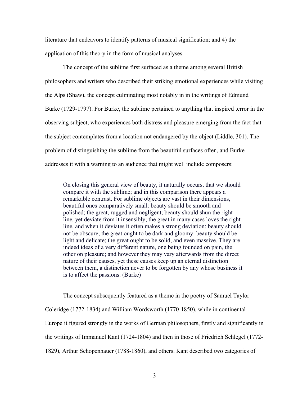literature that endeavors to identify patterns of musical signification; and 4) the application of this theory in the form of musical analyses.

The concept of the sublime first surfaced as a theme among several British philosophers and writers who described their striking emotional experiences while visiting the Alps (Shaw), the concept culminating most notably in in the writings of Edmund Burke (1729-1797). For Burke, the sublime pertained to anything that inspired terror in the observing subject, who experiences both distress and pleasure emerging from the fact that the subject contemplates from a location not endangered by the object (Liddle, 301). The problem of distinguishing the sublime from the beautiful surfaces often, and Burke addresses it with a warning to an audience that might well include composers:

On closing this general view of beauty, it naturally occurs, that we should compare it with the sublime; and in this comparison there appears a remarkable contrast. For sublime objects are vast in their dimensions, beautiful ones comparatively small: beauty should be smooth and polished; the great, rugged and negligent; beauty should shun the right line, yet deviate from it insensibly; the great in many cases loves the right line, and when it deviates it often makes a strong deviation: beauty should not be obscure; the great ought to be dark and gloomy: beauty should be light and delicate; the great ought to be solid, and even massive. They are indeed ideas of a very different nature, one being founded on pain, the other on pleasure; and however they may vary afterwards from the direct nature of their causes, yet these causes keep up an eternal distinction between them, a distinction never to be forgotten by any whose business it is to affect the passions. (Burke)

The concept subsequently featured as a theme in the poetry of Samuel Taylor Coleridge (1772-1834) and William Wordsworth (1770-1850), while in continental Europe it figured strongly in the works of German philosophers, firstly and significantly in the writings of Immanuel Kant (1724-1804) and then in those of Friedrich Schlegel (1772- 1829), Arthur Schopenhauer (1788-1860), and others. Kant described two categories of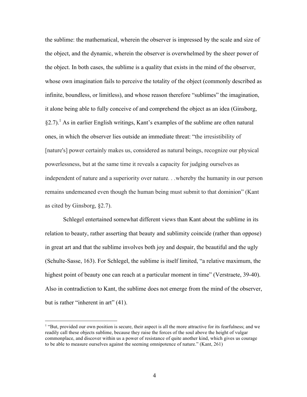the sublime: the mathematical, wherein the observer is impressed by the scale and size of the object, and the dynamic, wherein the observer is overwhelmed by the sheer power of the object. In both cases, the sublime is a quality that exists in the mind of the observer, whose own imagination fails to perceive the totality of the object (commonly described as infinite, boundless, or limitless), and whose reason therefore "sublimes" the imagination, it alone being able to fully conceive of and comprehend the object as an idea (Ginsborg,  $\S$ 2.7).<sup>1</sup> As in earlier English writings, Kant's examples of the sublime are often natural ones, in which the observer lies outside an immediate threat: "the irresistibility of [nature's] power certainly makes us, considered as natural beings, recognize our physical powerlessness, but at the same time it reveals a capacity for judging ourselves as independent of nature and a superiority over nature*. . .*whereby the humanity in our person remains undemeaned even though the human being must submit to that dominion" (Kant as cited by Ginsborg, §2.7).

Schlegel entertained somewhat different views than Kant about the sublime in its relation to beauty, rather asserting that beauty and sublimity coincide (rather than oppose) in great art and that the sublime involves both joy and despair, the beautiful and the ugly (Schulte-Sasse, 163). For Schlegel, the sublime is itself limited, "a relative maximum, the highest point of beauty one can reach at a particular moment in time" (Verstraete, 39-40). Also in contradiction to Kant, the sublime does not emerge from the mind of the observer, but is rather "inherent in art" (41).

 $\overline{a}$ 

<sup>&</sup>lt;sup>1</sup> "But, provided our own position is secure, their aspect is all the more attractive for its fearfulness; and we readily call these objects sublime, because they raise the forces of the soul above the height of vulgar commonplace, and discover within us a power of resistance of quite another kind, which gives us courage to be able to measure ourselves against the seeming omnipotence of nature." (Kant, 261)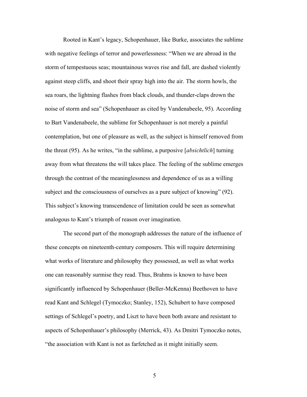Rooted in Kant's legacy, Schopenhauer, like Burke, associates the sublime with negative feelings of terror and powerlessness: "When we are abroad in the storm of tempestuous seas; mountainous waves rise and fall, are dashed violently against steep cliffs, and shoot their spray high into the air. The storm howls, the sea roars, the lightning flashes from black clouds, and thunder-claps drown the noise of storm and sea" (Schopenhauer as cited by Vandenabeele, 95). According to Bart Vandenabeele, the sublime for Schopenhauer is not merely a painful contemplation, but one of pleasure as well, as the subject is himself removed from the threat (95). As he writes, "in the sublime, a purposive [*absichtlich*] turning away from what threatens the will takes place. The feeling of the sublime emerges through the contrast of the meaninglessness and dependence of us as a willing subject and the consciousness of ourselves as a pure subject of knowing" (92). This subject's knowing transcendence of limitation could be seen as somewhat analogous to Kant's triumph of reason over imagination.

The second part of the monograph addresses the nature of the influence of these concepts on nineteenth-century composers. This will require determining what works of literature and philosophy they possessed, as well as what works one can reasonably surmise they read. Thus, Brahms is known to have been significantly influenced by Schopenhauer (Beller-McKenna) Beethoven to have read Kant and Schlegel (Tymoczko; Stanley, 152), Schubert to have composed settings of Schlegel's poetry, and Liszt to have been both aware and resistant to aspects of Schopenhauer's philosophy (Merrick, 43). As Dmitri Tymoczko notes, "the association with Kant is not as farfetched as it might initially seem.

5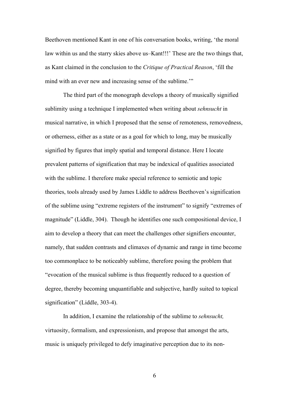Beethoven mentioned Kant in one of his conversation books, writing, 'the moral law within us and the starry skies above us–Kant!!!' These are the two things that, as Kant claimed in the conclusion to the *Critique of Practical Reason*, 'fill the mind with an ever new and increasing sense of the sublime."

The third part of the monograph develops a theory of musically signified sublimity using a technique I implemented when writing about *sehnsucht* in musical narrative, in which I proposed that the sense of remoteness, removedness, or otherness, either as a state or as a goal for which to long, may be musically signified by figures that imply spatial and temporal distance. Here I locate prevalent patterns of signification that may be indexical of qualities associated with the sublime. I therefore make special reference to semiotic and topic theories, tools already used by James Liddle to address Beethoven's signification of the sublime using "extreme registers of the instrument" to signify "extremes of magnitude" (Liddle, 304). Though he identifies one such compositional device, I aim to develop a theory that can meet the challenges other signifiers encounter, namely, that sudden contrasts and climaxes of dynamic and range in time become too commonplace to be noticeably sublime, therefore posing the problem that "evocation of the musical sublime is thus frequently reduced to a question of degree, thereby becoming unquantifiable and subjective, hardly suited to topical signification" (Liddle, 303-4).

In addition, I examine the relationship of the sublime to *sehnsucht,* virtuosity, formalism, and expressionism, and propose that amongst the arts, music is uniquely privileged to defy imaginative perception due to its non-

6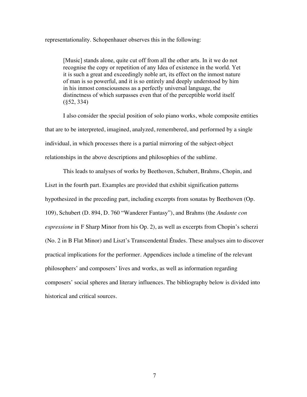representationality. Schopenhauer observes this in the following:

[Music] stands alone, quite cut off from all the other arts. In it we do not recognise the copy or repetition of any Idea of existence in the world. Yet it is such a great and exceedingly noble art, its effect on the inmost nature of man is so powerful, and it is so entirely and deeply understood by him in his inmost consciousness as a perfectly universal language, the distinctness of which surpasses even that of the perceptible world itself*.*  (§52, 334)

I also consider the special position of solo piano works, whole composite entities that are to be interpreted, imagined, analyzed, remembered, and performed by a single individual, in which processes there is a partial mirroring of the subject-object relationships in the above descriptions and philosophies of the sublime.

This leads to analyses of works by Beethoven, Schubert, Brahms, Chopin, and Liszt in the fourth part. Examples are provided that exhibit signification patterns hypothesized in the preceding part, including excerpts from sonatas by Beethoven (Op. 109), Schubert (D. 894, D. 760 "Wanderer Fantasy"), and Brahms (the *Andante con espressione* in F Sharp Minor from his Op. 2), as well as excerpts from Chopin's scherzi (No. 2 in B Flat Minor) and Liszt's Transcendental Études. These analyses aim to discover practical implications for the performer. Appendices include a timeline of the relevant philosophers' and composers' lives and works, as well as information regarding composers' social spheres and literary influences. The bibliography below is divided into historical and critical sources.

7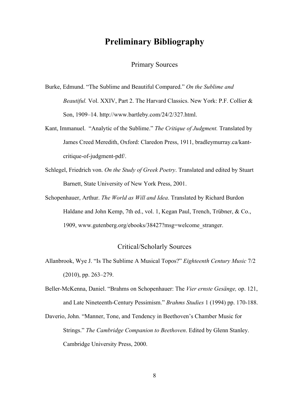## **Preliminary Bibliography**

### Primary Sources

- Burke, Edmund. "The Sublime and Beautiful Compared." *On the Sublime and Beautiful.* Vol. XXIV, Part 2. The Harvard Classics. New York: P.F. Collier & Son, 1909–14. http://www.bartleby.com/24/2/327.html.
- Kant, Immanuel. "Analytic of the Sublime." *The Critique of Judgment.* Translated by James Creed Meredith, Oxford: Claredon Press, 1911, bradleymurray.ca/kantcritique-of-judgment-pdf/.
- Schlegel, Friedrich von. *On the Study of Greek Poetry*. Translated and edited by Stuart Barnett, State University of New York Press, 2001.
- Schopenhauer, Arthur. *The World as Will and Idea*. Translated by Richard Burdon Haldane and John Kemp, 7th ed., vol. 1, Kegan Paul, Trench, Trübner, & Co., 1909, www.gutenberg.org/ebooks/38427?msg=welcome\_stranger.

#### Critical/Scholarly Sources

- Allanbrook, Wye J. "Is The Sublime A Musical Topos?" *Eighteenth Century Music* 7/2 (2010), pp. 263–279.
- Beller-McKenna, Daniel. "Brahms on Schopenhauer: The *Vier ernste Gesänge,* op. 121, and Late Nineteenth-Century Pessimism." *Brahms Studies* 1 (1994) pp. 170-188.
- Daverio, John. "Manner, Tone, and Tendency in Beethoven's Chamber Music for Strings." *The Cambridge Companion to Beethoven*. Edited by Glenn Stanley. Cambridge University Press, 2000.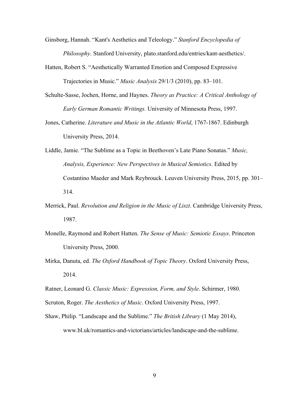Ginsborg, Hannah. "Kant's Aesthetics and Teleology." *Stanford Encyclopedia of Philosophy*. Stanford University, plato.stanford.edu/entries/kant-aesthetics/.

- Hatten, Robert S. "Aesthetically Warranted Emotion and Composed Expressive Trajectories in Music." *Music Analysis* 29/1/3 (2010), pp. 83–101.
- Schulte-Sasse, Jochen, Horne, and Haynes. *Theory as Practice: A Critical Anthology of Early German Romantic Writings.* University of Minnesota Press, 1997.
- Jones, Catherine. *Literature and Music in the Atlantic World*, 1767-1867. Edinburgh University Press, 2014.
- Liddle, Jamie. "The Sublime as a Topic in Beethoven's Late Piano Sonatas." *Music, Analysis, Experience: New Perspectives in Musical Semiotics*. Edited by Costantino Maeder and Mark Reybrouck. Leuven University Press, 2015, pp. 301– 314.
- Merrick, Paul. *Revolution and Religion in the Music of Liszt*. Cambridge University Press, 1987.
- Monelle, Raymond and Robert Hatten. *The Sense of Music: Semiotic Essays*. Princeton University Press, 2000.
- Mirka, Danuta, ed. *The Oxford Handbook of Topic Theory*. Oxford University Press, 2014.

Ratner, Leonard G. *Classic Music: Expression, Form, and Style*. Schirmer, 1980.

Scruton, Roger. *The Aesthetics of Music*. Oxford University Press, 1997.

Shaw, Philip. "Landscape and the Sublime." *The British Library* (1 May 2014), www.bl.uk/romantics-and-victorians/articles/landscape-and-the-sublime.